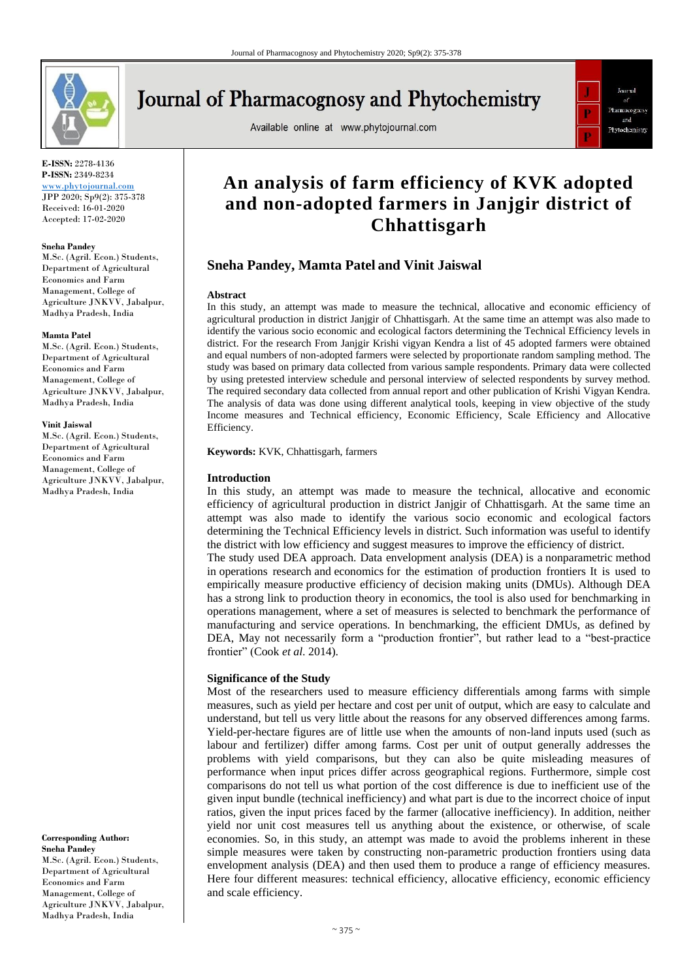

# **Journal of Pharmacognosy and Phytochemistry**

Available online at www.phytojournal.com



**E-ISSN:** 2278-4136 **P-ISSN:** 2349-8234

<www.phytojournal.com> JPP 2020; Sp9(2): 375-378 Received: 16-01-2020 Accepted: 17-02-2020

#### **Sneha Pandey**

M.Sc. (Agril. Econ.) Students, Department of Agricultural Economics and Farm Management, College of Agriculture JNKVV, Jabalpur, Madhya Pradesh, India

#### **Mamta Patel**

M.Sc. (Agril. Econ.) Students, Department of Agricultural Economics and Farm Management, College of Agriculture JNKVV, Jabalpur, Madhya Pradesh, India

#### **Vinit Jaiswal**

M.Sc. (Agril. Econ.) Students, Department of Agricultural Economics and Farm Management, College of Agriculture JNKVV, Jabalpur, Madhya Pradesh, India

**Corresponding Author: Sneha Pandey** M.Sc. (Agril. Econ.) Students, Department of Agricultural Economics and Farm Management, College of Agriculture JNKVV, Jabalpur, Madhya Pradesh, India

# **An analysis of farm efficiency of KVK adopted and non-adopted farmers in Janjgir district of Chhattisgarh**

# **Sneha Pandey, Mamta Patel and Vinit Jaiswal**

#### **Abstract**

In this study, an attempt was made to measure the technical, allocative and economic efficiency of agricultural production in district Janjgir of Chhattisgarh. At the same time an attempt was also made to identify the various socio economic and ecological factors determining the Technical Efficiency levels in district. For the research From Janjgir Krishi vigyan Kendra a list of 45 adopted farmers were obtained and equal numbers of non-adopted farmers were selected by proportionate random sampling method. The study was based on primary data collected from various sample respondents. Primary data were collected by using pretested interview schedule and personal interview of selected respondents by survey method. The required secondary data collected from annual report and other publication of Krishi Vigyan Kendra. The analysis of data was done using different analytical tools, keeping in view objective of the study Income measures and Technical efficiency, Economic Efficiency, Scale Efficiency and Allocative Efficiency.

**Keywords:** KVK, Chhattisgarh, farmers

#### **Introduction**

In this study, an attempt was made to measure the technical, allocative and economic efficiency of agricultural production in district Janjgir of Chhattisgarh. At the same time an attempt was also made to identify the various socio economic and ecological factors determining the Technical Efficiency levels in district. Such information was useful to identify the district with low efficiency and suggest measures to improve the efficiency of district. The study used DEA approach. Data envelopment analysis (DEA) is a nonparametric method in operations research and economics for the estimation of production frontiers It is used to empirically measure productive efficiency of decision making units (DMUs). Although DEA has a strong link to production theory in economics, the tool is also used for benchmarking in operations management, where a set of measures is selected to benchmark the performance of manufacturing and service operations. In benchmarking, the efficient DMUs, as defined by DEA, May not necessarily form a "production frontier", but rather lead to a "best-practice frontier" (Cook *et al*. 2014).

#### **Significance of the Study**

Most of the researchers used to measure efficiency differentials among farms with simple measures, such as yield per hectare and cost per unit of output, which are easy to calculate and understand, but tell us very little about the reasons for any observed differences among farms. Yield-per-hectare figures are of little use when the amounts of non-land inputs used (such as labour and fertilizer) differ among farms. Cost per unit of output generally addresses the problems with yield comparisons, but they can also be quite misleading measures of performance when input prices differ across geographical regions. Furthermore, simple cost comparisons do not tell us what portion of the cost difference is due to inefficient use of the given input bundle (technical inefficiency) and what part is due to the incorrect choice of input ratios, given the input prices faced by the farmer (allocative inefficiency). In addition, neither yield nor unit cost measures tell us anything about the existence, or otherwise, of scale economies. So, in this study, an attempt was made to avoid the problems inherent in these simple measures were taken by constructing non-parametric production frontiers using data envelopment analysis (DEA) and then used them to produce a range of efficiency measures. Here four different measures: technical efficiency, allocative efficiency, economic efficiency and scale efficiency.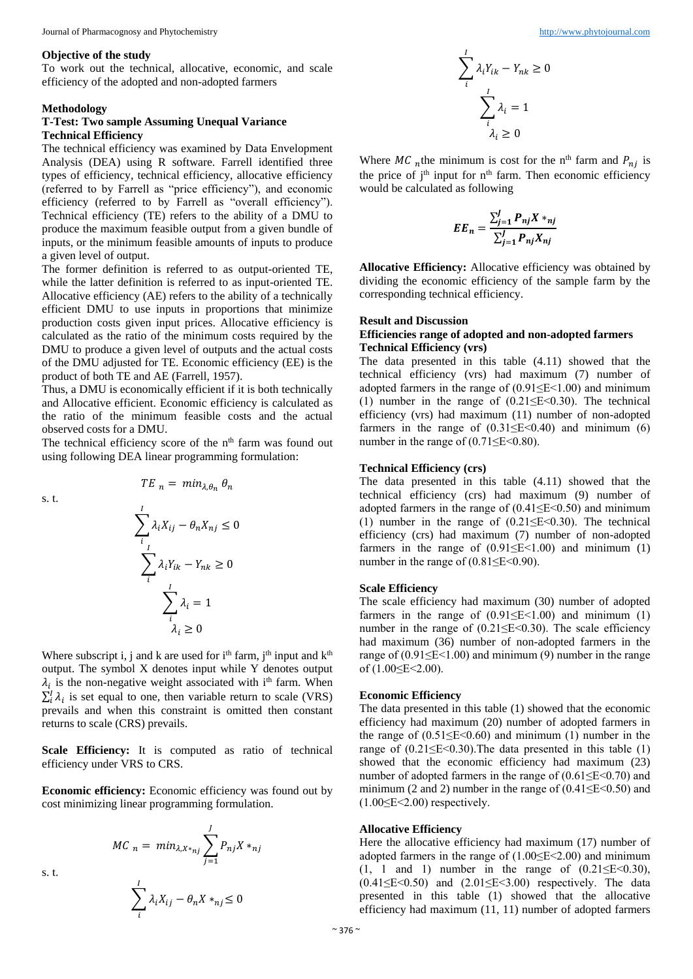#### **Objective of the study**

To work out the technical, allocative, economic, and scale efficiency of the adopted and non-adopted farmers

#### **Methodology**

# **T-Test: Two sample Assuming Unequal Variance Technical Efficiency**

The technical efficiency was examined by Data Envelopment Analysis (DEA) using R software. Farrell identified three types of efficiency, technical efficiency, allocative efficiency (referred to by Farrell as "price efficiency"), and economic efficiency (referred to by Farrell as "overall efficiency"). Technical efficiency (TE) refers to the ability of a DMU to produce the maximum feasible output from a given bundle of inputs, or the minimum feasible amounts of inputs to produce a given level of output.

The former definition is referred to as output-oriented TE, while the latter definition is referred to as input-oriented TE. Allocative efficiency (AE) refers to the ability of a technically efficient DMU to use inputs in proportions that minimize production costs given input prices. Allocative efficiency is calculated as the ratio of the minimum costs required by the DMU to produce a given level of outputs and the actual costs of the DMU adjusted for TE. Economic efficiency (EE) is the product of both TE and AE (Farrell, 1957).

Thus, a DMU is economically efficient if it is both technically and Allocative efficient. Economic efficiency is calculated as the ratio of the minimum feasible costs and the actual observed costs for a DMU.

The technical efficiency score of the n<sup>th</sup> farm was found out using following DEA linear programming formulation:

 $TE_n = min_{\lambda,\theta_n} \theta_n$ 

s. t.

$$
\sum_{i}^{I} \lambda_{i} X_{ij} - \theta_{n} X_{nj} \le 0
$$

$$
\sum_{i}^{I} \lambda_{i} Y_{ik} - Y_{nk} \ge 0
$$

$$
\sum_{i}^{I} \lambda_{i} = 1
$$

$$
\lambda_{i} \ge 0
$$

Where subscript i, j and k are used for  $i<sup>th</sup>$  farm,  $i<sup>th</sup>$  input and  $k<sup>th</sup>$ output. The symbol X denotes input while Y denotes output  $\lambda_i$  is the non-negative weight associated with i<sup>th</sup> farm. When  $\sum_i^I \lambda_i$  is set equal to one, then variable return to scale (VRS) prevails and when this constraint is omitted then constant returns to scale (CRS) prevails.

**Scale Efficiency:** It is computed as ratio of technical efficiency under VRS to CRS.

**Economic efficiency:** Economic efficiency was found out by cost minimizing linear programming formulation.

> $MC_n = min_{\lambda, X *_{nj}}$ ,  $P_{nj}X *_{nj}$ J  $j=1$  $\sum_{i} \lambda_i X_{ij}$ I  $-\theta_n X *_{nj} \leq 0$

> > i

$$
\sum_{i}^{I} \lambda_{i} Y_{ik} - Y_{nk} \ge 0
$$

$$
\sum_{i}^{I} \lambda_{i} = 1
$$

$$
\lambda_{i} \ge 0
$$

Where MC <sub>n</sub>the minimum is cost for the n<sup>th</sup> farm and  $P_{ni}$  is the price of  $j<sup>th</sup>$  input for  $n<sup>th</sup>$  farm. Then economic efficiency would be calculated as following

$$
EE_n = \frac{\sum_{j=1}^{J} P_{nj} X *_{nj}}{\sum_{j=1}^{J} P_{nj} X_{nj}}
$$

**Allocative Efficiency:** Allocative efficiency was obtained by dividing the economic efficiency of the sample farm by the corresponding technical efficiency.

#### **Result and Discussion**

#### **Efficiencies range of adopted and non-adopted farmers Technical Efficiency (vrs)**

The data presented in this table (4.11) showed that the technical efficiency (vrs) had maximum (7) number of adopted farmers in the range of  $(0.91 \leq E < 1.00)$  and minimum (1) number in the range of  $(0.21 \leq E \leq 0.30)$ . The technical efficiency (vrs) had maximum (11) number of non-adopted farmers in the range of  $(0.31 \le E \le 0.40)$  and minimum  $(6)$ number in the range of  $(0.71 \leq E \leq 0.80)$ .

#### **Technical Efficiency (crs)**

The data presented in this table (4.11) showed that the technical efficiency (crs) had maximum (9) number of adopted farmers in the range of  $(0.41 \le E < 0.50)$  and minimum (1) number in the range of  $(0.21 \leq E \leq 0.30)$ . The technical efficiency (crs) had maximum (7) number of non-adopted farmers in the range of  $(0.91 \leq E < 1.00)$  and minimum (1) number in the range of  $(0.81 \le E \le 0.90)$ .

#### **Scale Efficiency**

The scale efficiency had maximum (30) number of adopted farmers in the range of  $(0.91 \leq E < 1.00)$  and minimum (1) number in the range of  $(0.21 \leq E \leq 0.30)$ . The scale efficiency had maximum (36) number of non-adopted farmers in the range of  $(0.91 \leq E < 1.00)$  and minimum (9) number in the range of (1.00≤E<2.00).

#### **Economic Efficiency**

The data presented in this table (1) showed that the economic efficiency had maximum (20) number of adopted farmers in the range of  $(0.51 \le E \le 0.60)$  and minimum (1) number in the range of  $(0.21 \le E \le 0.30)$ . The data presented in this table (1) showed that the economic efficiency had maximum (23) number of adopted farmers in the range of (0.61≤E<0.70) and minimum (2 and 2) number in the range of  $(0.41 \le E < 0.50)$  and  $(1.00 \leq E \leq 2.00)$  respectively.

#### **Allocative Efficiency**

Here the allocative efficiency had maximum (17) number of adopted farmers in the range of (1.00≤E<2.00) and minimum (1, 1 and 1) number in the range of  $(0.21 \le E < 0.30)$ , (0.41≤E<0.50) and (2.01≤E<3.00) respectively. The data presented in this table (1) showed that the allocative efficiency had maximum (11, 11) number of adopted farmers

s. t.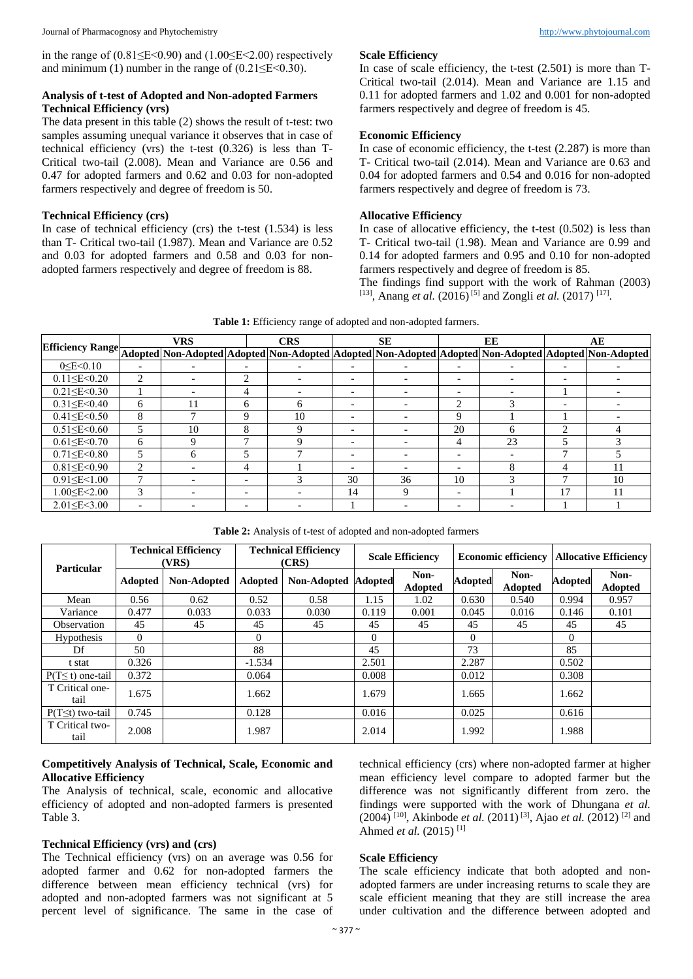in the range of  $(0.81 \leq E \leq 0.90)$  and  $(1.00 \leq E \leq 2.00)$  respectively and minimum (1) number in the range of  $(0.21 \le E < 0.30)$ .

### **Analysis of t-test of Adopted and Non-adopted Farmers Technical Efficiency (vrs)**

The data present in this table (2) shows the result of t-test: two samples assuming unequal variance it observes that in case of technical efficiency (vrs) the t-test (0.326) is less than T-Critical two-tail (2.008). Mean and Variance are 0.56 and 0.47 for adopted farmers and 0.62 and 0.03 for non-adopted farmers respectively and degree of freedom is 50.

# **Technical Efficiency (crs)**

In case of technical efficiency (crs) the t-test (1.534) is less than T- Critical two-tail (1.987). Mean and Variance are 0.52 and 0.03 for adopted farmers and 0.58 and 0.03 for nonadopted farmers respectively and degree of freedom is 88.

#### **Scale Efficiency**

In case of scale efficiency, the t-test (2.501) is more than T-Critical two-tail (2.014). Mean and Variance are 1.15 and 0.11 for adopted farmers and 1.02 and 0.001 for non-adopted farmers respectively and degree of freedom is 45.

#### **Economic Efficiency**

In case of economic efficiency, the t-test (2.287) is more than T- Critical two-tail (2.014). Mean and Variance are 0.63 and 0.04 for adopted farmers and 0.54 and 0.016 for non-adopted farmers respectively and degree of freedom is 73.

# **Allocative Efficiency**

In case of allocative efficiency, the t-test (0.502) is less than T- Critical two-tail (1.98). Mean and Variance are 0.99 and 0.14 for adopted farmers and 0.95 and 0.10 for non-adopted farmers respectively and degree of freedom is 85.

The findings find support with the work of Rahman (2003) <sup>[13]</sup>, Anang *et al.* (2016)<sup>[5]</sup> and Zongli *et al.* (2017)<sup>[17]</sup>.

|  |  |  | Table 1: Efficiency range of adopted and non-adopted farmers. |  |  |  |  |  |  |  |  |  |  |
|--|--|--|---------------------------------------------------------------|--|--|--|--|--|--|--|--|--|--|
|--|--|--|---------------------------------------------------------------|--|--|--|--|--|--|--|--|--|--|

|                                                                                                                          | <b>VRS</b>               |                          |                          | <b>CRS</b>    |                          | <b>SE</b>                |                          | EE | AЕ                       |    |
|--------------------------------------------------------------------------------------------------------------------------|--------------------------|--------------------------|--------------------------|---------------|--------------------------|--------------------------|--------------------------|----|--------------------------|----|
| Efficiency Range Adopted Non-Adopted Adopted Non-Adopted Adopted Non-Adopted Adopted Non-Adopted Non-Adopted Non-Adopted |                          |                          |                          |               |                          |                          |                          |    |                          |    |
| 0 < E < 0.10                                                                                                             |                          |                          | $\overline{\phantom{a}}$ |               |                          |                          | $\overline{\phantom{0}}$ |    |                          |    |
| $0.11 \leq E < 0.20$                                                                                                     | 2                        |                          | $\mathfrak{D}$           |               | $\overline{\phantom{0}}$ |                          |                          |    | $\overline{\phantom{0}}$ |    |
| $0.21 \le E < 0.30$                                                                                                      |                          | $\overline{\phantom{0}}$ | 4                        |               | $\overline{\phantom{a}}$ | $\overline{\phantom{a}}$ | $\overline{\phantom{a}}$ |    |                          |    |
| $0.31 \le E < 0.40$                                                                                                      | 6                        | 11                       | 6                        | 6             | $\overline{\phantom{0}}$ |                          | 2                        |    | $\overline{\phantom{0}}$ |    |
| $0.41 \leq E \leq 0.50$                                                                                                  | 8                        |                          | 9                        | 10            |                          |                          | 9                        |    |                          |    |
| $0.51 \le E < 0.60$                                                                                                      |                          | 10                       | 8                        | 9             | $\overline{\phantom{0}}$ |                          | 20                       | h  | $\mathfrak{D}$           |    |
| $0.61 \le E \le 0.70$                                                                                                    | 6                        | 9                        | −                        | Q             | $\overline{\phantom{a}}$ |                          | 4                        | 23 |                          |    |
| $0.71 \le E < 0.80$                                                                                                      | 5                        | 6                        |                          |               | $\overline{\phantom{a}}$ |                          | $\overline{\phantom{a}}$ |    |                          |    |
| $0.81 \le E < 0.90$                                                                                                      | 2                        |                          | 4                        |               | $\overline{\phantom{0}}$ |                          | $\overline{\phantom{a}}$ | 8  | 4                        | 11 |
| 0.91 < E < 1.00                                                                                                          | 7                        | $\overline{\phantom{0}}$ | $\overline{\phantom{0}}$ | $\mathcal{F}$ | 30                       | 36                       | 10                       | 3  | −                        | 10 |
| $1.00 \le E \le 2.00$                                                                                                    | 3                        | $\overline{\phantom{a}}$ | $\overline{\phantom{0}}$ |               | 14                       | 9                        | $\overline{\phantom{0}}$ |    | 17                       | 11 |
| $2.01 \le E \le 3.00$                                                                                                    | $\overline{\phantom{0}}$ |                          |                          |               |                          |                          |                          |    |                          |    |

**Table 2:** Analysis of t-test of adopted and non-adopted farmers

| <b>Particular</b>       | <b>Technical Efficiency</b><br>(VRS) |             | <b>Technical Efficiency</b><br>(CRS) |                    | <b>Scale Efficiency</b> |                        | <b>Economic efficiency</b> |                 | <b>Allocative Efficiency</b> |                 |
|-------------------------|--------------------------------------|-------------|--------------------------------------|--------------------|-------------------------|------------------------|----------------------------|-----------------|------------------------------|-----------------|
|                         | <b>Adopted</b>                       | Non-Adopted | <b>Adopted</b>                       | <b>Non-Adopted</b> | <b>Adopted</b>          | Non-<br><b>Adopted</b> | <b>Adopted</b>             | Non-<br>Adopted | <b>Adopted</b>               | Non-<br>Adopted |
| Mean                    | 0.56                                 | 0.62        | 0.52                                 | 0.58               | 1.15                    | 1.02                   | 0.630                      | 0.540           | 0.994                        | 0.957           |
| Variance                | 0.477                                | 0.033       | 0.033                                | 0.030              | 0.119                   | 0.001                  | 0.045                      | 0.016           | 0.146                        | 0.101           |
| Observation             | 45                                   | 45          | 45                                   | 45                 | 45                      | 45                     | 45                         | 45              | 45                           | 45              |
| <b>Hypothesis</b>       | $\Omega$                             |             | $\Omega$                             |                    | $\Omega$                |                        | $\Omega$                   |                 | $\Omega$                     |                 |
| Df                      | 50                                   |             | 88                                   |                    | 45                      |                        | 73                         |                 | 85                           |                 |
| t stat                  | 0.326                                |             | $-1.534$                             |                    | 2.501                   |                        | 2.287                      |                 | 0.502                        |                 |
| $P(T \le t)$ one-tail   | 0.372                                |             | 0.064                                |                    | 0.008                   |                        | 0.012                      |                 | 0.308                        |                 |
| T Critical one-<br>tail | 1.675                                |             | 1.662                                |                    | 1.679                   |                        | 1.665                      |                 | 1.662                        |                 |
| $P(T \leq t)$ two-tail  | 0.745                                |             | 0.128                                |                    | 0.016                   |                        | 0.025                      |                 | 0.616                        |                 |
| T Critical two-<br>tail | 2.008                                |             | 1.987                                |                    | 2.014                   |                        | 1.992                      |                 | 1.988                        |                 |

#### **Competitively Analysis of Technical, Scale, Economic and Allocative Efficiency**

The Analysis of technical, scale, economic and allocative efficiency of adopted and non-adopted farmers is presented Table 3.

#### **Technical Efficiency (vrs) and (crs)**

The Technical efficiency (vrs) on an average was 0.56 for adopted farmer and 0.62 for non-adopted farmers the difference between mean efficiency technical (vrs) for adopted and non-adopted farmers was not significant at 5 percent level of significance. The same in the case of

technical efficiency (crs) where non-adopted farmer at higher mean efficiency level compare to adopted farmer but the difference was not significantly different from zero. the findings were supported with the work of Dhungana *et al.* (2004) [10], Akinbode *et al.* (2011) [3], Ajao *et al.* (2012) [2] and Ahmed *et al.* (2015)<sup>[1]</sup>

# **Scale Efficiency**

The scale efficiency indicate that both adopted and nonadopted farmers are under increasing returns to scale they are scale efficient meaning that they are still increase the area under cultivation and the difference between adopted and